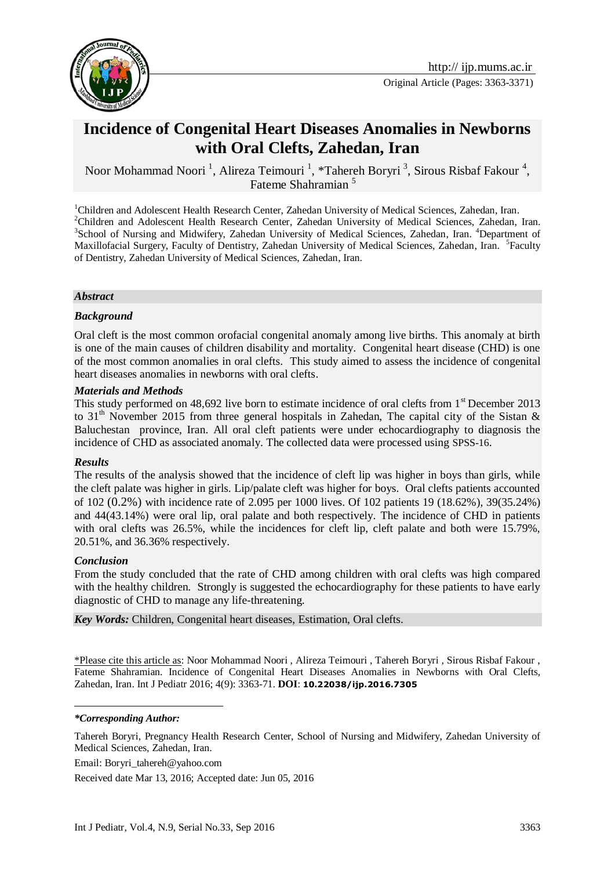

# **Incidence of Congenital Heart Diseases Anomalies in Newborns with Oral Clefts, Zahedan, Iran**

Noor Mohammad Noori<sup>1</sup>, Alireza Teimouri<sup>1</sup>, \*Tahereh Boryri<sup>3</sup>, Sirous Risbaf Fakour<sup>4</sup>, Fateme Shahramian<sup>5</sup>

<sup>1</sup>Children and Adolescent Health Research Center, Zahedan University of Medical Sciences, Zahedan, Iran. <sup>2</sup>Children and Adolescent Health Research Center, Zahedan University of Medical Sciences, Zahedan, Iran. <sup>3</sup>School of Nursing and Midwifery, Zahedan University of Medical Sciences, Zahedan, Iran. <sup>4</sup>Department of Maxillofacial Surgery, Faculty of Dentistry, Zahedan University of Medical Sciences, Zahedan, Iran. <sup>5</sup>Faculty of Dentistry, Zahedan University of Medical Sciences, Zahedan, Iran.

#### *Abstract*

#### *Background*

Oral cleft is the most common orofacial congenital anomaly among live births. This anomaly at birth is one of the main causes of children disability and mortality. Congenital heart disease (CHD) is one of the most common anomalies in oral clefts. This study aimed to assess the incidence of congenital heart diseases anomalies in newborns with oral clefts.

#### *Materials and Methods*

This study performed on  $48,692$  live born to estimate incidence of oral clefts from  $1<sup>st</sup>$  December 2013 to 31<sup>th</sup> November 2015 from three general hospitals in Zahedan, The capital city of the Sistan & Baluchestan province, Iran. All oral cleft patients were under echocardiography to diagnosis the incidence of CHD as associated anomaly. The collected data were processed using SPSS-16.

#### *Results*

The results of the analysis showed that the incidence of cleft lip was higher in boys than girls, while the cleft palate was higher in girls. Lip/palate cleft was higher for boys. Oral clefts patients accounted of 102 (0.2%) with incidence rate of 2.095 per 1000 lives. Of 102 patients 19 (18.62%), 39(35.24%) and 44(43.14%) were oral lip, oral palate and both respectively. The incidence of CHD in patients with oral clefts was 26.5%, while the incidences for cleft lip, cleft palate and both were 15.79%, 20.51%, and 36.36% respectively.

#### *Conclusion*

From the study concluded that the rate of CHD among children with oral clefts was high compared with the healthy children. Strongly is suggested the echocardiography for these patients to have early diagnostic of CHD to manage any life-threatening.

*Key Words:* Children, Congenital heart diseases, Estimation, Oral clefts.

\*Please cite this article as: Noor Mohammad Noori , Alireza Teimouri , Tahereh Boryri , Sirous Risbaf Fakour , Fateme Shahramian. Incidence of Congenital Heart Diseases Anomalies in Newborns with Oral Clefts, Zahedan, Iran. Int J Pediatr 2016; 4(9): 3363-71. **DOI**: **10.22038/ijp.2016.7305**

<u>.</u>

Tahereh Boryri, Pregnancy Health Research Center, School of Nursing and Midwifery, Zahedan University of Medical Sciences, Zahedan, Iran.

Email: [Boryri\\_tahereh@yahoo.com](mailto:Boryri_tahereh@yahoo.com)

Received date Mar 13, 2016; Accepted date: Jun 05, 2016

*<sup>\*</sup>Corresponding Author:*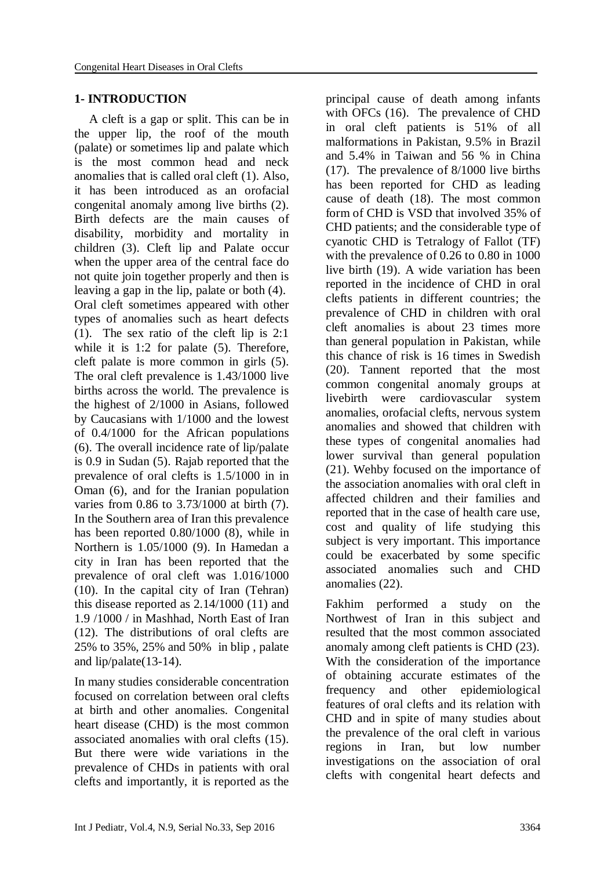#### **1- INTRODUCTION**

A cleft is a gap or split. This can be in the upper lip, the roof of the mouth (palate) or sometimes lip and palate which is the most common head and neck anomalies that is called oral cleft (1). Also, it has been introduced as an orofacial congenital anomaly among live births (2). Birth defects are the main causes of disability, morbidity and mortality in children (3). Cleft lip and Palate occur when the upper area of the central face do not quite join together properly and then is leaving a gap in the lip, palate or both (4). Oral cleft sometimes appeared with other types of anomalies such as heart defects (1). The sex ratio of the cleft lip is 2:1 while it is 1:2 for palate (5). Therefore, cleft palate is more common in girls (5). The oral cleft prevalence is 1.43/1000 live births across the world. The prevalence is the highest of 2/1000 in Asians, followed by Caucasians with 1/1000 and the lowest of 0.4/1000 for the African populations (6). The overall incidence rate of lip/palate is 0.9 in Sudan (5). Rajab reported that the prevalence of oral clefts is 1.5/1000 in in Oman (6), and for the Iranian population varies from 0.86 to 3.73/1000 at birth (7). In the Southern area of Iran this prevalence has been reported 0.80/1000 (8), while in Northern is 1.05/1000 (9). In Hamedan a city in Iran has been reported that the prevalence of oral cleft was 1.016/1000 (10). In the capital city of Iran (Tehran) this disease reported as 2.14/1000 (11) and 1.9 /1000 / in Mashhad, North East of Iran (12). The distributions of oral clefts are 25% to 35%, 25% and 50% in blip , palate and lip/palate(13-14).

In many studies considerable concentration focused on correlation between oral clefts at birth and other anomalies. Congenital heart disease (CHD) is the most common associated anomalies with oral clefts (15). But there were wide variations in the prevalence of CHDs in patients with oral clefts and importantly, it is reported as the

principal cause of death among infants with OFCs (16). The prevalence of CHD in oral cleft patients is 51% of all malformations in Pakistan, 9.5% in Brazil and 5.4% in Taiwan and 56 % in China (17). The prevalence of 8/1000 live births has been reported for CHD as leading cause of death (18). The most common form of CHD is VSD that involved 35% of CHD patients; and the considerable type of cyanotic CHD is [Tetralogy of Fallot \(TF\)](http://www.jpma.org.pk/PdfDownload/7451.pdf)  [with the prevalence of 0.26 to 0.80 in 1000](http://www.jpma.org.pk/PdfDownload/7451.pdf)  [live birth](http://www.jpma.org.pk/PdfDownload/7451.pdf) (19). A wide variation has been reported in the incidence of CHD in oral clefts patients in different countries; the prevalence of CHD in children with oral cleft anomalies is about 23 times more than general population in Pakistan, while this chance of risk is 16 times in Swedish (20). Tannent reported that the most common congenital anomaly groups at livebirth were cardiovascular system anomalies, orofacial clefts, nervous system anomalies and showed that children with these types of congenital anomalies had lower survival than general population (21). Wehby focused on the importance of the association anomalies with oral cleft in affected children and their families and reported that in the case of health care use, cost and quality of life studying this subject is very important. This importance could be exacerbated by some specific associated anomalies such and CHD anomalies (22).

Fakhim performed a study on the Northwest of Iran in this subject and resulted that the most common associated anomaly among cleft patients is CHD (23). With the consideration of the importance of obtaining accurate estimates of the frequency and other epidemiological features of oral clefts and its relation with CHD and in spite of many studies about the prevalence of the oral cleft in various regions in Iran, but low number investigations on the association of oral clefts with congenital heart defects and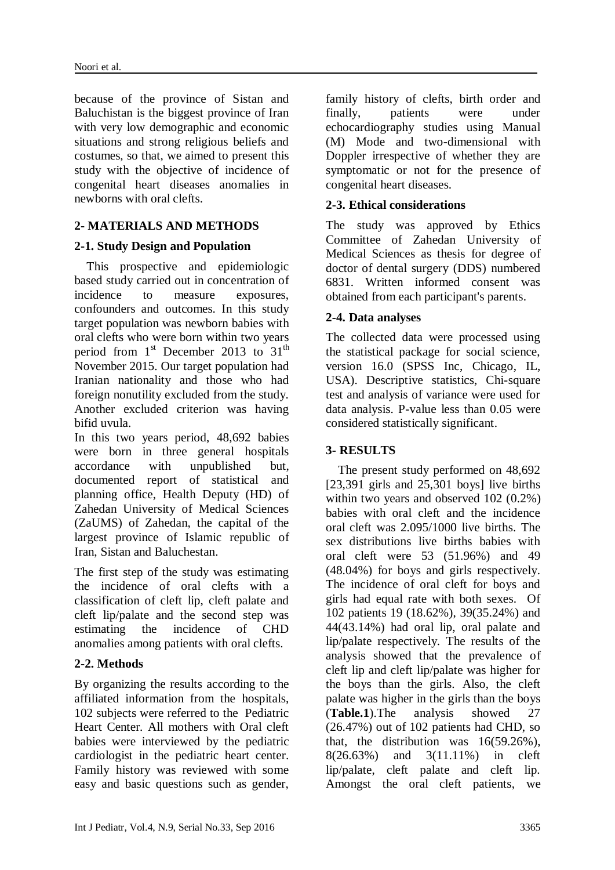because of the province of Sistan and Baluchistan is the biggest province of Iran with very low demographic and economic situations and strong religious beliefs and costumes, so that, we aimed to present this study with the objective of incidence of congenital heart diseases anomalies in newborns with oral clefts.

# **2- MATERIALS AND METHODS**

# **2-1. Study Design and Population**

 This prospective and epidemiologic based study carried out in concentration of incidence to measure exposures, confounders and outcomes. In this study target population was newborn babies with oral clefts who were born within two years period from  $1<sup>st</sup>$  December 2013 to  $31<sup>th</sup>$ November 2015. Our target population had Iranian nationality and those who had foreign nonutility excluded from the study. Another excluded criterion was having bifid uvula.

In this two years period, 48,692 babies were born in three general hospitals accordance with unpublished but, documented report of statistical and planning office, Health Deputy (HD) of Zahedan University of Medical Sciences (ZaUMS) of Zahedan, the capital of the largest province of Islamic republic of Iran, Sistan and Baluchestan.

The first step of the study was estimating the incidence of oral clefts with a classification of cleft lip, cleft palate and cleft lip/palate and the second step was estimating the incidence of CHD anomalies among patients with oral clefts.

# **2-2. Methods**

By organizing the results according to the affiliated information from the hospitals, 102 subjects were referred to the Pediatric Heart Center. All mothers with Oral cleft babies were interviewed by the pediatric cardiologist in the pediatric heart center. Family history was reviewed with some easy and basic questions such as gender, family history of clefts, birth order and finally, patients were under echocardiography studies using Manual (M) Mode and two-dimensional with Doppler irrespective of whether they are symptomatic or not for the presence of congenital heart diseases.

# **2-3. Ethical considerations**

The study was approved by Ethics Committee of Zahedan University of Medical Sciences as thesis for degree of doctor of dental surgery (DDS) numbered 6831. Written informed consent was obtained from each participant's parents.

# **2-4. Data analyses**

The collected data were processed using the statistical package for social science, version 16.0 (SPSS Inc, Chicago, IL, USA). Descriptive statistics, Chi-square test and analysis of variance were used for data analysis. P-value less than 0.05 were considered statistically significant.

# **3- RESULTS**

 The present study performed on 48,692 [23,391 girls and 25,301 boys] live births within two years and observed 102 (0.2%) babies with oral cleft and the incidence oral cleft was 2.095/1000 live births. The sex distributions live births babies with oral cleft were 53 (51.96%) and 49 (48.04%) for boys and girls respectively. The incidence of oral cleft for boys and girls had equal rate with both sexes. Of 102 patients 19 (18.62%), 39(35.24%) and 44(43.14%) had oral lip, oral palate and lip/palate respectively. The results of the analysis showed that the prevalence of cleft lip and cleft lip/palate was higher for the boys than the girls. Also, the cleft palate was higher in the girls than the boys (**Table.1**).The analysis showed 27 (26.47%) out of 102 patients had CHD, so that, the distribution was 16(59.26%), 8(26.63%) and 3(11.11%) in cleft lip/palate, cleft palate and cleft lip. Amongst the oral cleft patients, we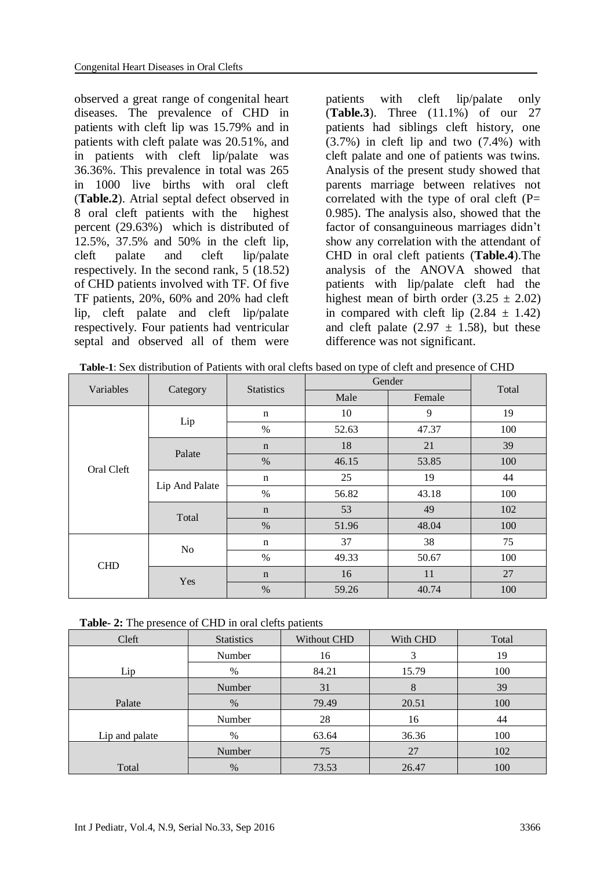observed a great range of congenital heart diseases. The prevalence of CHD in patients with cleft lip was 15.79% and in patients with cleft palate was 20.51%, and in patients with cleft lip/palate was 36.36%. This prevalence in total was 265 in 1000 live births with oral cleft (**Table.2**). Atrial septal defect observed in 8 oral cleft patients with the highest percent (29.63%) which is distributed of 12.5%, 37.5% and 50% in the cleft lip, cleft palate and cleft lip/palate respectively. In the second rank, 5 (18.52) of CHD patients involved with TF. Of five TF patients, 20%, 60% and 20% had cleft lip, cleft palate and cleft lip/palate respectively. Four patients had ventricular septal and observed all of them were

patients with cleft lip/palate only (**Table.3**). Three (11.1%) of our 27 patients had siblings cleft history, one (3.7%) in cleft lip and two (7.4%) with cleft palate and one of patients was twins. Analysis of the present study showed that parents marriage between relatives not correlated with the type of oral cleft  $(P=$ 0.985). The analysis also, showed that the factor of consanguineous marriages didn't show any correlation with the attendant of CHD in oral cleft patients (**Table.4**).The analysis of the ANOVA showed that patients with lip/palate cleft had the highest mean of birth order  $(3.25 \pm 2.02)$ in compared with cleft lip  $(2.84 \pm 1.42)$ and cleft palate  $(2.97 \pm 1.58)$ , but these difference was not significant.

|  | <b>Table-1:</b> Sex distribution of Patients with oral clefts based on type of cleft and presence of CHD |
|--|----------------------------------------------------------------------------------------------------------|
|  |                                                                                                          |

| Variables  |                | <b>Statistics</b> | Gender | Total  |     |  |
|------------|----------------|-------------------|--------|--------|-----|--|
|            | Category       |                   | Male   | Female |     |  |
| Oral Cleft | Lip            | n                 | 10     | 9      | 19  |  |
|            |                | $\%$              | 52.63  | 47.37  | 100 |  |
|            | Palate         | $\mathbf n$       | 18     | 21     | 39  |  |
|            |                | $\%$              | 46.15  | 53.85  | 100 |  |
|            | Lip And Palate | $\mathbf n$       | 25     | 19     | 44  |  |
|            |                | %                 | 56.82  | 43.18  | 100 |  |
|            | Total          | $\mathbf n$       | 53     | 49     | 102 |  |
|            |                | %                 | 51.96  | 48.04  | 100 |  |
| <b>CHD</b> | No             | n                 | 37     | 38     | 75  |  |
|            |                | $\%$              | 49.33  | 50.67  | 100 |  |
|            | Yes            | $\mathbf n$       | 16     | 11     | 27  |  |
|            |                | $\%$              | 59.26  | 40.74  | 100 |  |

| <b>Table-2:</b> The presence of CHD in oral clefts patients |  |  |
|-------------------------------------------------------------|--|--|
|-------------------------------------------------------------|--|--|

| Cleft          | <b>Statistics</b> | Without CHD | With CHD | Total |
|----------------|-------------------|-------------|----------|-------|
|                | Number            | 16          |          | 19    |
| Lip            | $\%$              | 84.21       | 15.79    | 100   |
|                | Number            | 31          | 8        | 39    |
| Palate         | $\%$              | 79.49       | 20.51    | 100   |
|                | Number            | 28          | 16       | 44    |
| Lip and palate | %                 | 63.64       | 36.36    | 100   |
|                | Number            | 75          | 27       | 102   |
| Total          | %                 | 73.53       | 26.47    | 100   |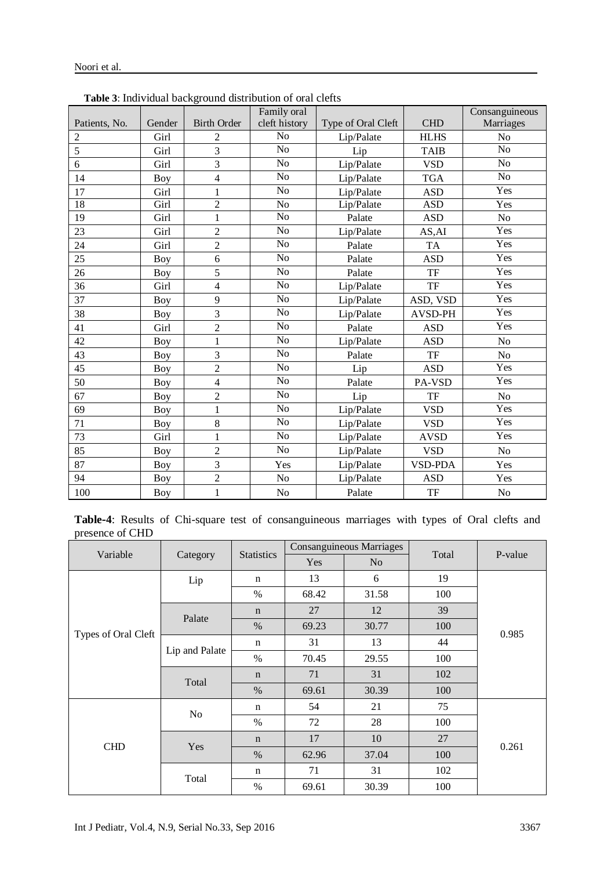|                |            | <b>rative</b> 5. High vidual background distribution of oral cities | Family oral     |                    |                | Consanguineous |
|----------------|------------|---------------------------------------------------------------------|-----------------|--------------------|----------------|----------------|
| Patients, No.  | Gender     | <b>Birth Order</b>                                                  | cleft history   | Type of Oral Cleft | <b>CHD</b>     | Marriages      |
| $\overline{2}$ | Girl       | $\overline{c}$                                                      | N <sub>o</sub>  | Lip/Palate         | <b>HLHS</b>    | No             |
| 5              | Girl       | $\overline{3}$                                                      | No              | Lip                | <b>TAIB</b>    | No             |
| 6              | Girl       | 3                                                                   | N <sub>o</sub>  | Lip/Palate         | <b>VSD</b>     | N <sub>o</sub> |
| 14             | Boy        | $\overline{\mathcal{L}}$                                            | N <sub>o</sub>  | Lip/Palate         | <b>TGA</b>     | No             |
| 17             | Girl       | $\mathbf{1}$                                                        | N <sub>o</sub>  | Lip/Palate         | <b>ASD</b>     | Yes            |
| 18             | Girl       | $\overline{2}$                                                      | N <sub>o</sub>  | Lip/Palate         | <b>ASD</b>     | Yes            |
| 19             | Girl       | $\mathbf{1}$                                                        | No              | Palate             | <b>ASD</b>     | No             |
| 23             | Girl       | $\overline{2}$                                                      | N <sub>o</sub>  | Lip/Palate         | AS, AI         | Yes            |
| 24             | Girl       | $\overline{2}$                                                      | $\overline{No}$ | Palate             | <b>TA</b>      | Yes            |
| 25             | <b>Boy</b> | 6                                                                   | N <sub>o</sub>  | Palate             | <b>ASD</b>     | Yes            |
| 26             | <b>Boy</b> | $\overline{5}$                                                      | $\overline{No}$ | Palate             | TF             | Yes            |
| 36             | Girl       | $\overline{4}$                                                      | N <sub>o</sub>  | Lip/Palate         | TF             | Yes            |
| 37             | <b>Boy</b> | 9                                                                   | No              | Lip/Palate         | ASD, VSD       | Yes            |
| 38             | <b>Boy</b> | 3                                                                   | N <sub>o</sub>  | Lip/Palate         | AVSD-PH        | Yes            |
| 41             | Girl       | $\overline{2}$                                                      | No              | Palate             | <b>ASD</b>     | Yes            |
| 42             | <b>Boy</b> | $\mathbf 1$                                                         | N <sub>o</sub>  | Lip/Palate         | <b>ASD</b>     | N <sub>o</sub> |
| 43             | Boy        | 3                                                                   | N <sub>o</sub>  | Palate             | TF             | No             |
| 45             | <b>Boy</b> | $\overline{c}$                                                      | $\overline{No}$ | Lip                | <b>ASD</b>     | Yes            |
| 50             | <b>Boy</b> | $\overline{4}$                                                      | No              | Palate             | PA-VSD         | Yes            |
| 67             | Boy        | $\overline{2}$                                                      | N <sub>o</sub>  | Lip                | TF             | N <sub>o</sub> |
| 69             | <b>Boy</b> | $\mathbf 1$                                                         | N <sub>o</sub>  | Lip/Palate         | <b>VSD</b>     | Yes            |
| 71             | <b>Boy</b> | $8\,$                                                               | No              | Lip/Palate         | <b>VSD</b>     | Yes            |
| 73             | Girl       | $\mathbf{1}$                                                        | N <sub>o</sub>  | Lip/Palate         | <b>AVSD</b>    | Yes            |
| 85             | <b>Boy</b> | $\overline{2}$                                                      | N <sub>o</sub>  | Lip/Palate         | <b>VSD</b>     | N <sub>o</sub> |
| 87             | <b>Boy</b> | 3                                                                   | Yes             | Lip/Palate         | <b>VSD-PDA</b> | Yes            |
| 94             | <b>Boy</b> | $\overline{2}$                                                      | N <sub>o</sub>  | Lip/Palate         | <b>ASD</b>     | Yes            |
| 100            | <b>Boy</b> | $\mathbf{1}$                                                        | N <sub>o</sub>  | Palate             | TF             | N <sub>o</sub> |

#### **Table 3**: Individual background distribution of oral clefts

Noori et al.

**Table-4**: Results of Chi-square test of consanguineous marriages with types of Oral clefts and presence of CHD

|                     | Category       | <b>Statistics</b> | <b>Consanguineous Marriages</b> |                |       |         |
|---------------------|----------------|-------------------|---------------------------------|----------------|-------|---------|
| Variable            |                |                   | Yes                             | N <sub>o</sub> | Total | P-value |
|                     | Lip            | n                 | 13                              | 6              | 19    |         |
|                     |                | $\%$              | 68.42                           | 31.58          | 100   |         |
|                     | Palate         | $\mathbf n$       | 27                              | 12             | 39    | 0.985   |
|                     |                | $\%$              | 69.23                           | 30.77          | 100   |         |
| Types of Oral Cleft | Lip and Palate | n                 | 31                              | 13             | 44    |         |
|                     |                | $\%$              | 70.45                           | 29.55          | 100   |         |
|                     | Total          | $\mathbf n$       | 71                              | 31             | 102   |         |
|                     |                | $\%$              | 69.61                           | 30.39          | 100   |         |
| <b>CHD</b>          | No             | n                 | 54                              | 21             | 75    |         |
|                     |                | $\%$              | 72                              | 28             | 100   | 0.261   |
|                     | Yes            | $\mathbf n$       | 17                              | 10             | 27    |         |
|                     |                | $\%$              | 62.96                           | 37.04          | 100   |         |
|                     | Total          | n                 | 71                              | 31             | 102   |         |
|                     |                | $\%$              | 69.61                           | 30.39          | 100   |         |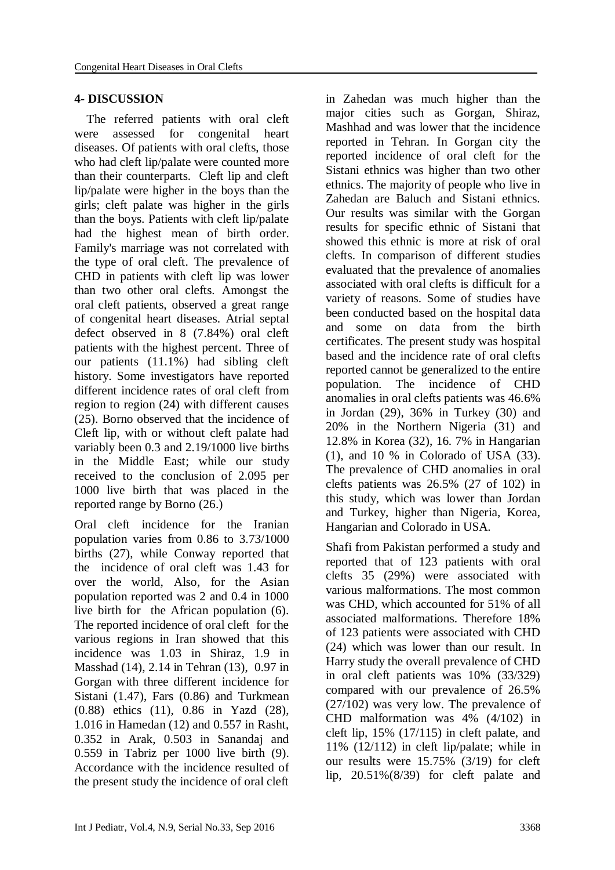#### **4- DISCUSSION**

 The referred patients with oral cleft were assessed for congenital heart diseases. Of patients with oral clefts, those who had cleft lip/palate were counted more than their counterparts. Cleft lip and cleft lip/palate were higher in the boys than the girls; cleft palate was higher in the girls than the boys. Patients with cleft lip/palate had the highest mean of birth order. Family's marriage was not correlated with the type of oral cleft. The prevalence of CHD in patients with cleft lip was lower than two other oral clefts. Amongst the oral cleft patients, observed a great range of congenital heart diseases. Atrial septal defect observed in 8 (7.84%) oral cleft patients with the highest percent. Three of our patients (11.1%) had sibling cleft history. Some investigators have reported different incidence rates of oral cleft from region to region (24) with different causes (25). Borno observed that the incidence of Cleft lip, with or without cleft palate had variably been 0.3 and 2.19/1000 live births in the Middle East; while our study received to the conclusion of 2.095 per 1000 live birth that was placed in the reported range by Borno (26.)

Oral cleft incidence for the Iranian population varies from 0.86 to 3.73/1000 births (27), while Conway reported that the incidence of oral cleft was 1.43 for over the world, Also, for the Asian population reported was 2 and 0.4 in 1000 live birth for the African population (6). The reported incidence of oral cleft for the various regions in Iran showed that this incidence was 1.03 in Shiraz, 1.9 in Masshad (14), 2.14 in Tehran (13), 0.97 in Gorgan with three different incidence for Sistani (1.47), Fars (0.86) and Turkmean (0.88) ethics (11), 0.86 in Yazd (28), 1.016 in Hamedan (12) and 0.557 in Rasht, 0.352 in Arak, 0.503 in Sanandaj and 0.559 in Tabriz per 1000 live birth (9). Accordance with the incidence resulted of the present study the incidence of oral cleft

in Zahedan was much higher than the major cities such as Gorgan, Shiraz, Mashhad and was lower that the incidence reported in Tehran. In Gorgan city the reported incidence of oral cleft for the Sistani ethnics was higher than two other ethnics. The majority of people who live in Zahedan are Baluch and Sistani ethnics. Our results was similar with the Gorgan results for specific ethnic of Sistani that showed this ethnic is more at risk of oral clefts. In comparison of different studies evaluated that the prevalence of anomalies associated with oral clefts is difficult for a variety of reasons. Some of studies have been conducted based on the hospital data and some on data from the birth certificates. The present study was hospital based and the incidence rate of oral clefts reported cannot be generalized to the entire population. The incidence of CHD anomalies in oral clefts patients was 46.6% in Jordan (29), 36% in Turkey (30) and 20% in the Northern Nigeria (31) and 12.8% in Korea (32), 16. 7% in Hangarian (1), and 10 % in Colorado of USA (33). The prevalence of CHD anomalies in oral clefts patients was 26.5% (27 of 102) in this study, which was lower than Jordan and Turkey, higher than Nigeria, Korea, Hangarian and Colorado in USA.

Shafi from Pakistan performed a study and reported that of 123 patients with oral clefts 35 (29%) were associated with various malformations. The most common was CHD, which accounted for 51% of all associated malformations. Therefore 18% of 123 patients were associated with CHD (24) which was lower than our result. In Harry study the overall prevalence of CHD in oral cleft patients was 10% (33/329) compared with our prevalence of 26.5% (27/102) was very low. The prevalence of CHD malformation was 4% (4/102) in cleft lip, 15% (17/115) in cleft palate, and 11% (12/112) in cleft lip/palate; while in our results were 15.75% (3/19) for cleft lip, 20.51%(8/39) for cleft palate and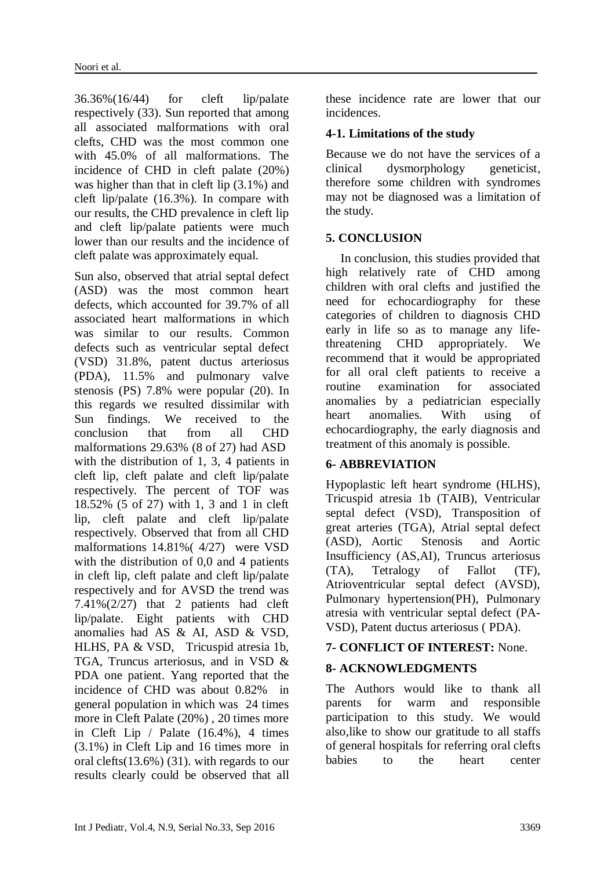36.36%(16/44) for cleft lip/palate respectively (33). Sun reported that among all associated malformations with oral clefts, CHD was the most common one with 45.0% of all malformations. The incidence of CHD in cleft palate (20%) was higher than that in cleft lip (3.1%) and cleft lip/palate (16.3%). In compare with our results, the CHD prevalence in cleft lip and cleft lip/palate patients were much lower than our results and the incidence of cleft palate was approximately equal.

Sun also, observed that atrial septal defect (ASD) was the most common heart defects, which accounted for 39.7% of all associated heart malformations in which was similar to our results. Common defects such as ventricular septal defect (VSD) 31.8%, patent ductus arteriosus (PDA), 11.5% and pulmonary valve stenosis (PS) 7.8% were popular (20). In this regards we resulted dissimilar with Sun findings. We received to the conclusion that from all CHD malformations 29.63% (8 of 27) had ASD with the distribution of 1, 3, 4 patients in cleft lip, cleft palate and cleft lip/palate respectively. The percent of TOF was 18.52% (5 of 27) with 1, 3 and 1 in cleft lip, cleft palate and cleft lip/palate respectively. Observed that from all CHD malformations 14.81%( 4/27) were VSD with the distribution of 0,0 and 4 patients in cleft lip, cleft palate and cleft lip/palate respectively and for AVSD the trend was 7.41%(2/27) that 2 patients had cleft lip/palate. Eight patients with CHD anomalies had AS & AI, ASD & VSD, HLHS, PA & VSD, Tricuspid atresia 1b, TGA, Truncus arteriosus, and in VSD & PDA one patient. Yang reported that the incidence of CHD was about 0.82% in general population in which was 24 times more in Cleft Palate (20%) , 20 times more in Cleft Lip / Palate (16.4%), 4 times (3.1%) in Cleft Lip and 16 times more in oral clefts(13.6%) (31). with regards to our results clearly could be observed that all these incidence rate are lower that our incidences.

### **4-1. Limitations of the study**

Because we do not have the services of a [clinical dysmorphology geneticist,](http://scholar.google.com/scholar?q=a+clinical+dysmorphology+geneticist&hl=en&as_sdt=0&as_vis=1&oi=scholart&sa=X&ved=0ahUKEwj_w9SiwcXOAhVF1RoKHf9GDuMQgQMIGjAA) therefore some children with syndromes may not be diagnosed was a limitation of the study.

### **5. CONCLUSION**

In conclusion, this studies provided that high relatively rate of CHD among children with oral clefts and justified the need for echocardiography for these categories of children to diagnosis CHD early in life so as to manage any lifethreatening CHD appropriately. We recommend that it would be appropriated for all oral cleft patients to receive a routine examination for associated anomalies by a pediatrician especially heart anomalies. With using of echocardiography, the early diagnosis and treatment of this anomaly is possible.

# **6- ABBREVIATION**

Hypoplastic left heart syndrome (HLHS), Tricuspid atresia 1b (TAIB), Ventricular septal defect (VSD), Transposition of great arteries (TGA), Atrial septal defect (ASD), Aortic Stenosis and Aortic Insufficiency (AS,AI), Truncus arteriosus (TA), Tetralogy of Fallot (TF), Atrioventricular septal defect (AVSD), Pulmonary hypertension(PH), Pulmonary atresia with ventricular septal defect (PA-VSD), Patent ductus arteriosus ( PDA).

#### **7- CONFLICT OF INTEREST:** None.

# **8- ACKNOWLEDGMENTS**

The Authors would like to thank all parents for warm and responsible participation to this study. We would also,like to show our gratitude to all staffs of general hospitals for referring oral clefts babies to the heart center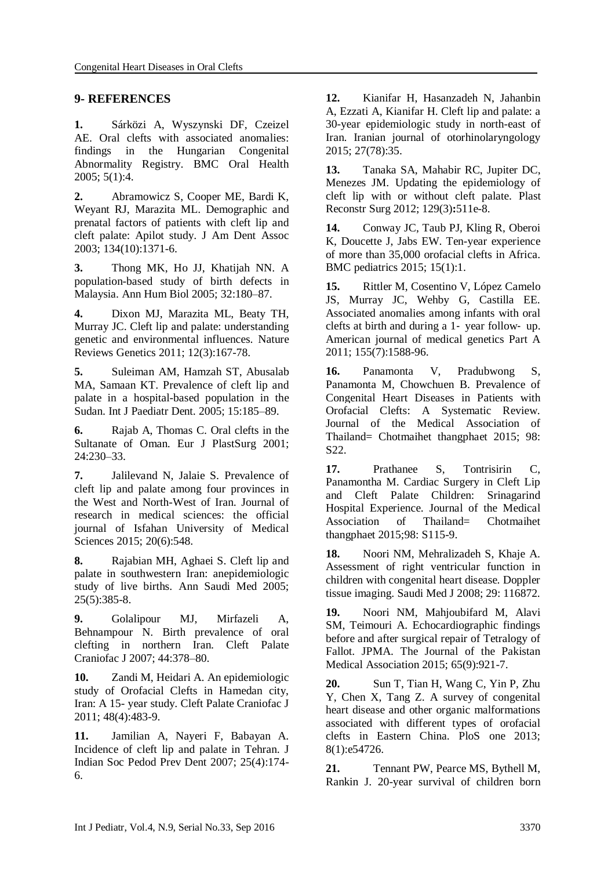#### **9- REFERENCES**

**1.** Sárközi A, Wyszynski DF, Czeizel AE. Oral clefts with associated anomalies: findings in the Hungarian Congenital Abnormality Registry. BMC Oral Health 2005; 5(1):4.

**2.** Abramowicz S, Cooper ME, Bardi K, Weyant RJ, Marazita ML. Demographic and prenatal factors of patients with cleft lip and cleft palate: Apilot study. J Am Dent Assoc 2003; 134(10):1371-6.

**3.** Thong MK, Ho JJ, Khatijah NN. A population-based study of birth defects in Malaysia. Ann Hum Biol 2005; 32:180–87.

**4.** Dixon MJ, Marazita ML, Beaty TH, Murray JC. Cleft lip and palate: understanding genetic and environmental influences. Nature Reviews Genetics 2011; 12(3):167-78.

**5.** Suleiman AM, Hamzah ST, Abusalab MA, Samaan KT. Prevalence of cleft lip and palate in a hospital-based population in the Sudan. Int J Paediatr Dent. 2005; 15:185–89.

**6.** Rajab A, Thomas C. Oral clefts in the Sultanate of Oman. Eur J PlastSurg 2001; 24:230–33.

**7.** Jalilevand N, Jalaie S. Prevalence of cleft lip and palate among four provinces in the West and North-West of Iran. Journal of research in medical sciences: the official journal of Isfahan University of Medical Sciences 2015; 20(6):548.

**8.** Rajabian MH, Aghaei S. Cleft lip and palate in southwestern Iran: anepidemiologic study of live births. Ann Saudi Med 2005; 25(5):385-8.

**9.** Golalipour MJ, Mirfazeli A, Behnampour N. Birth prevalence of oral clefting in northern Iran. Cleft Palate Craniofac J 2007; 44:378–80.

**10.** Zandi M, Heidari A. An epidemiologic study of Orofacial Clefts in Hamedan city, Iran: A 15- year study. Cleft Palate Craniofac J 2011; 48(4):483-9.

**11.** Jamilian A, Nayeri F, Babayan A. Incidence of cleft lip and palate in Tehran. J Indian Soc Pedod Prev Dent 2007; 25(4):174- 6.

**12.** Kianifar H, Hasanzadeh N, Jahanbin A, Ezzati A, Kianifar H. Cleft lip and palate: a 30-year epidemiologic study in north-east of Iran. Iranian journal of otorhinolaryngology 2015; 27(78):35.

**13.** Tanaka SA, Mahabir RC, Jupiter DC, Menezes JM. Updating the epidemiology of cleft lip with or without cleft palate. Plast Reconstr Surg 2012; 129(3)**:**511e-8.

**14.** Conway JC, Taub PJ, Kling R, Oberoi K, Doucette J, Jabs EW. Ten-year experience of more than 35,000 orofacial clefts in Africa. BMC pediatrics 2015; 15(1):1.

**15.** Rittler M, Cosentino V, López Camelo JS, Murray JC, Wehby G, Castilla EE. Associated anomalies among infants with oral clefts at birth and during a 1‐ year follow‐ up. American journal of medical genetics Part A 2011; 155(7):1588-96.

**16.** Panamonta V, Pradubwong S, Panamonta M, Chowchuen B. Prevalence of Congenital Heart Diseases in Patients with Orofacial Clefts: A Systematic Review. Journal of the Medical Association of Thailand= Chotmaihet thangphaet 2015; 98: S22.

**17.** Prathanee S, Tontrisirin C, Panamontha M. Cardiac Surgery in Cleft Lip and Cleft Palate Children: Srinagarind Hospital Experience. Journal of the Medical Association of Thailand= Chotmaihet thangphaet 2015;98: S115-9.

**18.** Noori NM, Mehralizadeh S, Khaje A. Assessment of right ventricular function in children with congenital heart disease. Doppler tissue imaging. Saudi Med J 2008; 29: 116872.

**19.** Noori NM, Mahjoubifard M, Alavi SM, Teimouri A. Echocardiographic findings before and after surgical repair of Tetralogy of Fallot. JPMA. The Journal of the Pakistan Medical Association 2015; 65(9):921-7.

**20.** Sun T, Tian H, Wang C, Yin P, Zhu Y, Chen X, Tang Z. A survey of congenital heart disease and other organic malformations associated with different types of orofacial clefts in Eastern China. PloS one 2013; 8(1):e54726.

**21.** Tennant PW, Pearce MS, Bythell M, Rankin J. 20-year survival of children born